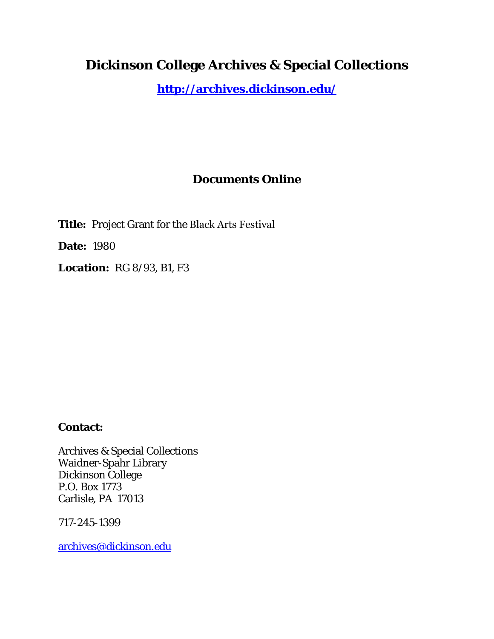# **Dickinson College Archives & Special Collections**

**<http://archives.dickinson.edu/>**

## **Documents Online**

**Title:** Project Grant for the Black Arts Festival

**Date:** 1980

**Location:** RG 8/93, B1, F3

### **Contact:**

Archives & Special Collections Waidner-Spahr Library Dickinson College P.O. Box 1773 Carlisle, PA 17013

717-245-1399

[archives@dickinson.edu](mailto:archives@dickinson.edu)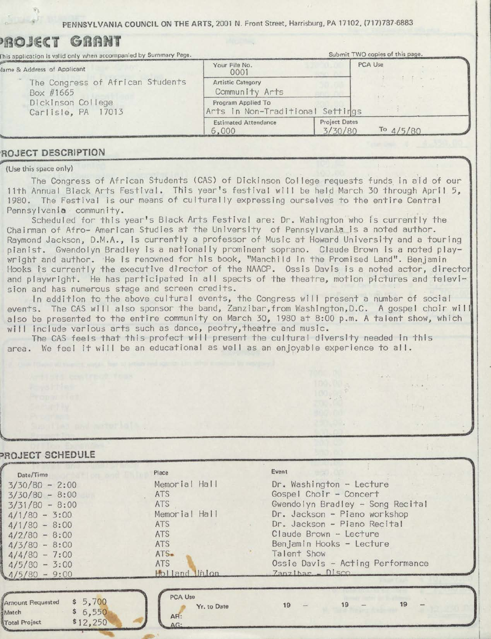**PENNSYLVANIA COUNCIL ON THE ARTS,** 2001 N. Front Street, Harrisburg, PA 17102, (717)787-6883

| PROJ€CT<br>GRAMI<br>This application is valid only when accompanied by Summary Page. |                                                        |                                 | Submit TWO copies of this page. |
|--------------------------------------------------------------------------------------|--------------------------------------------------------|---------------------------------|---------------------------------|
| Jame & Address of Applicant                                                          | Your File No.<br>0001                                  |                                 | PCA Use                         |
| The Congress of African Students<br>Box #1665                                        | Artistic Category<br>Community Arts                    |                                 |                                 |
| Dickinson College<br>Carlisle, PA 17013                                              | Program Applied To<br>Arts in Non-Traditional Settings |                                 |                                 |
|                                                                                      | <b>Estimated Attendance</b><br>6,000                   | <b>Project Dates</b><br>3/30/80 | To $4/5/80$                     |

#### **<sup>1</sup>ROJECT DESCRIPTION**

(Use this space only)

The Congress of African Students (CAS) of Dickinson College requests funds. in aid of our 11th Annual Black Arts Festival. This year's festival will be held March 30 through April 5, 1980. The Festival is our means of culturally expressing ourselves to the entire Central Pennsylvania community.<br>Scheduled for this year's Black Arts Festival are: Dr. Wahington who is currently the

Chairman of Afro- American Studies at the University of Pennsylvania is a noted author. Raymond Jackson, D.M.A., is currently a professor of Music at Howard University and a touring pianist. Gwendolyn Bradley is a nationally prominent soprano. Claude Brown is a noted playwright and author. He is renowned for his book, "Manchild In the Promised Land". Benjamin Hooks is currently the executive director of the NAACP. Ossis Davis is a noted actor, director and playwright. He has participated in all spects of the theatre, motion pictures and televi-

sion and has numerous stage and screen credits.<br>In addition to the above cultural events, the Congress will present a number of socia events. The CAS will also sponsor the band, Zanzibar,from Washington,D.C. A gospel choir will also be presented to the entire community on March 30, 1980 at 8:00 p.m. A talent show, which will include various arts such as dance, peotry, theatre and music.

 $\mathbb{R}$ 

The CAS feels that this profect will present the cultural diversity needed in this area. We feel it will be an educational as well as an enjoyable experience to all.

#### **?ROJECT SCHEDULE**

| Date/Time                                                                    | Place                                | Event                            |
|------------------------------------------------------------------------------|--------------------------------------|----------------------------------|
| $3/30/80 - 2:00$                                                             | Memorial Hall                        | Dr. Washington - Lecture         |
| $3/30/80 - 8:00$                                                             | <b>ATS</b>                           | Gospel Choir - Concert           |
| $3/31/80 - 8:00$                                                             | <b>ATS</b>                           | Gwendolyn Bradley - Song Recital |
| $4/1/80 - 3:00$                                                              | Memorial Hall                        | Dr. Jackson - Piano workshop     |
| $4/1/80 - 8:00$                                                              | <b>ATS</b>                           | Dr. Jackson - Piano Recital      |
| $4/2/80 - 8:00$                                                              | <b>ATS</b>                           | Claude Brown - Lecture           |
| $4/3/80 - 8:00$                                                              | <b>ATS</b>                           | Benjamin Hooks - Lecture         |
| $4/4/80 - 7:00$                                                              | $ATS-$                               | Talent Show                      |
| $4/5/80 - 3:00$                                                              | <b>ATS</b>                           | Ossie Davis - Acting Performance |
| $4/5/80 - 9:00$                                                              | Holland Unlon                        | $Zanzibar - Disca$               |
|                                                                              |                                      |                                  |
| \$5,700<br>Amount Requested<br>\$6,550<br>Match<br>\$12,250<br>Total Project | PCA Use<br>Yr. to Date<br>AR:<br>AG: | $19 -$<br>19<br>19               |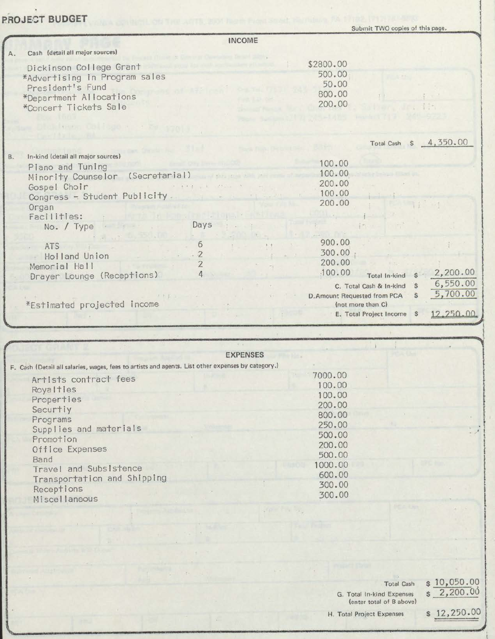## **PROJECT BUDGET**

Programs

Promotion

Receptions

Miscellaneous

Band

Office Expenses

Supplies and materials

Travel and Subsistence

Transportation and Shipping

 $\mathbf{v}$ 

|           |                                                                                                                                  | Submit TWO copies of this page.                                    |                        |
|-----------|----------------------------------------------------------------------------------------------------------------------------------|--------------------------------------------------------------------|------------------------|
|           | <b>INCOME</b>                                                                                                                    |                                                                    |                        |
| Α.        | Cash (detail all major sources)                                                                                                  |                                                                    |                        |
|           | Dickinson College Grant<br>*Advertising in Program sales<br>President's Fund<br>*Department Allocations<br>*Concert Tickets Sale | \$2800.00<br>500.00<br>50.00<br>800.00<br>200.00                   |                        |
|           | <b>CONTRACTOR MARKET</b>                                                                                                         |                                                                    |                        |
|           |                                                                                                                                  |                                                                    | Total Cash \$ 4,350.00 |
|           |                                                                                                                                  |                                                                    |                        |
| <b>B.</b> | In-kind (detail all major sources)                                                                                               | 100.00                                                             |                        |
|           | Plano and Tuning<br>most than the door plan                                                                                      | 100.00                                                             |                        |
|           | Minority Counselor (Secretarial)                                                                                                 | 200.00                                                             |                        |
|           | the most of the control of the state of<br>Gospel Choir                                                                          | 100.00                                                             |                        |
|           | Congress - Student Publicity                                                                                                     | 200.00                                                             |                        |
|           | Organ<br>Facilities:                                                                                                             |                                                                    |                        |
|           | Days<br>No. / Type                                                                                                               |                                                                    |                        |
|           |                                                                                                                                  | 900.00                                                             |                        |
|           | 6<br><b>ATS</b>                                                                                                                  | 300.00                                                             |                        |
|           | $\cdot$ 2<br>Holland Union                                                                                                       | 200.00                                                             |                        |
|           | $\overline{2}$<br>Memorial Hall<br>4                                                                                             | .100.00                                                            | 2,200.00               |
|           | Drayer Lounge (Receptions)                                                                                                       | Total In-kind<br>$\mathbf{s}$                                      | 6,550.00               |
|           | $1 + 2 - 1$                                                                                                                      | C. Total Cash & In-kind<br>S.<br>D. Amount Requested from PCA<br>S | 5,700.00               |
|           | *Estimated projected income                                                                                                      | (not more than C)                                                  |                        |
|           |                                                                                                                                  | E. Total Project Income \$                                         | 12,250.00              |
|           |                                                                                                                                  |                                                                    |                        |
|           |                                                                                                                                  |                                                                    |                        |
|           | <b>EXPENSES</b>                                                                                                                  |                                                                    |                        |
|           | F. Cash (Detail all salaries, wages, fees to artists and agents. List other expenses by category.)                               |                                                                    |                        |
|           |                                                                                                                                  | 7000.00                                                            |                        |
|           | Artists contract fees                                                                                                            | 100.00                                                             |                        |
|           | Royalties                                                                                                                        | 100.00                                                             |                        |
|           | Properties                                                                                                                       | 200.00                                                             |                        |
|           | Securtiy                                                                                                                         | 00000                                                              |                        |

**Total Cash** 

G. Total In-kind Expenses

800.00

250.00

500.00

200.00

500.00

1000.00

600.00

300.00

300.00

 $$ \frac{10,050.00}{2,200.00}$ 

(enter total of B above) H. Total Project Expenses

 $$12,250.00$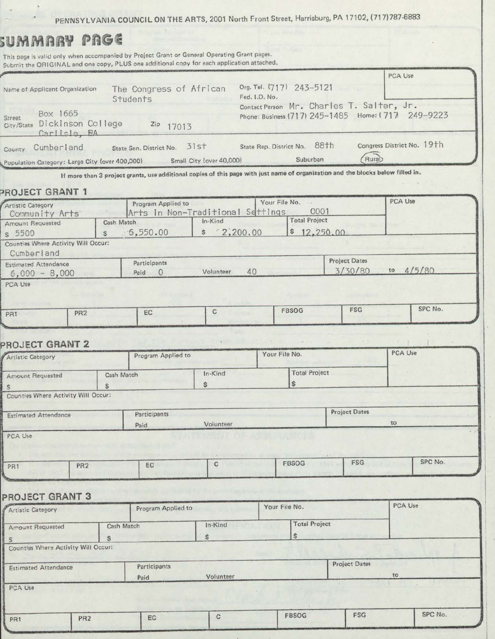PENNSYLVANIA COUNCIL ON THE ARTS, 2001 North Front Street, Harrisburg, PA 17102, (717)787-6883

# *UMMARY PRGE*

This page is valid only when accompanied by Project Grant or General Operating Grant pages. Submit the ORIGINAL and one copy, PLUS one additional copy for each application attached.

|                                                                              |            |                                |                                             |               |                                          |                                                                                                 | PCA Use                    |
|------------------------------------------------------------------------------|------------|--------------------------------|---------------------------------------------|---------------|------------------------------------------|-------------------------------------------------------------------------------------------------|----------------------------|
| The Congress of African<br>Name of Applicant Organization<br>Students        |            |                                |                                             | Fed. I.D. No. | Org. Tel. (717) 243-5121                 |                                                                                                 |                            |
| Box 1665<br><b>Street</b><br>Dickinson College<br>City/State<br>Carlisle, PA |            | Zip 17013                      |                                             |               |                                          | Contact Person Mr. Charles T. Salter, Jr.<br>Phone: Business (717) 245-1485 Home: (717 249-9223 |                            |
| Cumberland<br>County<br>Population Category: Large City (over 400,000)       |            | State Sen. District No. 31st   | Small City (over 40,000)                    |               | State Rep. District No. 88th<br>Suburban | Rurab                                                                                           | Congress District No. 19th |
| PROJECT GRANT 1<br><b>Artistic Category</b>                                  |            | Program Applied to             |                                             |               | Your File No.<br>0001                    |                                                                                                 | PCA Use                    |
| Community Arts<br>Amount Requested                                           | Cash Match |                                | Arts in Non-Traditional Settings<br>In-Kind |               | <b>Total Project</b>                     |                                                                                                 |                            |
| s 5500                                                                       | S.         | $-6,550.00$                    | \$2,200.00                                  |               | \$12,250.00                              |                                                                                                 |                            |
| Counties Where Activity Will Occur:<br>Cumberland                            |            |                                |                                             |               |                                          |                                                                                                 |                            |
| <b>Fstimated Attendance</b><br>$6,000 - 8,000$                               | Paid       | Participants<br>$\overline{0}$ | Volunteer                                   | 40            |                                          | <b>Project Dates</b><br>3/30/80                                                                 | 4/5/80<br>to               |
| PCA Use                                                                      |            |                                |                                             |               |                                          |                                                                                                 |                            |

| PR. | PR <sub>2</sub> | $r \sim r$<br>ЕC | <b>FBSOG</b> | <b>FSG</b> | SPC No. |
|-----|-----------------|------------------|--------------|------------|---------|
|     |                 |                  |              |            |         |
|     |                 |                  |              |            |         |

#### **PROJECT GRANT 2** '

| Artistic Category                   |                 | Program Applied to |           | Your File No.        |               | PCA Use               |
|-------------------------------------|-----------------|--------------------|-----------|----------------------|---------------|-----------------------|
| Amount Requested                    | Cash Match      |                    | In-Kind   | <b>Total Project</b> |               |                       |
| S                                   | S               |                    | \$        |                      |               |                       |
| Counties Where Activity Will Occur: |                 |                    |           |                      |               |                       |
| <b>Estimated Attendance</b>         |                 | Participants       |           |                      | Project Dates |                       |
|                                     |                 | Paid               | Volunteer |                      |               | to                    |
| PCA Use                             |                 |                    |           |                      |               |                       |
| PR1                                 | PR <sub>2</sub> | EC                 | C         | <b>FBSOG</b>         |               | SPC No.<br><b>FSG</b> |

#### **PROJECT GRANT 3**

| Artistic Category                   |                 | Program Applied to |             | Your File No.        |                      | PCA Use |  |
|-------------------------------------|-----------------|--------------------|-------------|----------------------|----------------------|---------|--|
| <b>Amount Requested</b>             | Cash Match      |                    | In-Kind     | <b>Total Project</b> |                      |         |  |
| S<br>s                              |                 | $\mathsf{s}$       |             | $\sqrt{S}$           |                      |         |  |
| Counties Where Activity Will Occur: |                 |                    |             |                      |                      |         |  |
| <b>Estimated Attendance</b>         |                 | Participants       |             |                      | <b>Project Dates</b> | to      |  |
| PCA Use                             |                 | Paid               | Volunteer   |                      |                      |         |  |
|                                     |                 |                    |             |                      |                      |         |  |
| PR1                                 | PR <sub>2</sub> | EC                 | $\mathbf C$ | FBSOG                | FSG                  | SPC No. |  |
|                                     |                 |                    |             |                      |                      |         |  |